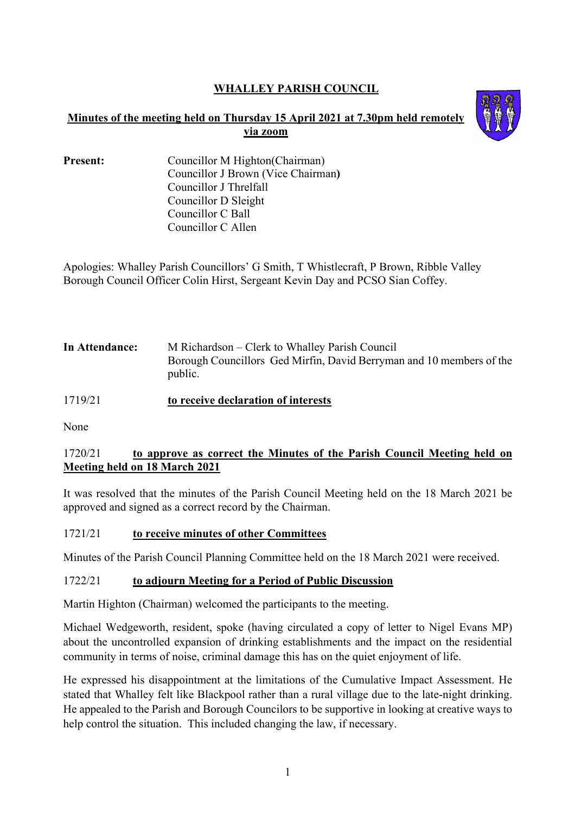# **WHALLEY PARISH COUNCIL**

## **Minutes of the meeting held on Thursday 15 April 2021 at 7.30pm held remotely via zoom**



| <b>Present:</b> | Councillor M Highton (Chairman)    |
|-----------------|------------------------------------|
|                 | Councillor J Brown (Vice Chairman) |
|                 | Councillor J Threlfall             |
|                 | Councillor D Sleight               |
|                 | Councillor C Ball                  |
|                 | Councillor C Allen                 |

Apologies: Whalley Parish Councillors' G Smith, T Whistlecraft, P Brown, Ribble Valley Borough Council Officer Colin Hirst, Sergeant Kevin Day and PCSO Sian Coffey.

| In Attendance: | M Richardson – Clerk to Whalley Parish Council<br>Borough Councillors Ged Mirfin, David Berryman and 10 members of the<br>public. |
|----------------|-----------------------------------------------------------------------------------------------------------------------------------|
|                |                                                                                                                                   |

1719/21 **to receive declaration of interests**

None

## 1720/21 **to approve as correct the Minutes of the Parish Council Meeting held on Meeting held on 18 March 2021**

It was resolved that the minutes of the Parish Council Meeting held on the 18 March 2021 be approved and signed as a correct record by the Chairman.

## 1721/21 **to receive minutes of other Committees**

Minutes of the Parish Council Planning Committee held on the 18 March 2021 were received.

## 1722/21 **to adjourn Meeting for a Period of Public Discussion**

Martin Highton (Chairman) welcomed the participants to the meeting.

Michael Wedgeworth, resident, spoke (having circulated a copy of letter to Nigel Evans MP) about the uncontrolled expansion of drinking establishments and the impact on the residential community in terms of noise, criminal damage this has on the quiet enjoyment of life.

He expressed his disappointment at the limitations of the Cumulative Impact Assessment. He stated that Whalley felt like Blackpool rather than a rural village due to the late-night drinking. He appealed to the Parish and Borough Councilors to be supportive in looking at creative ways to help control the situation. This included changing the law, if necessary.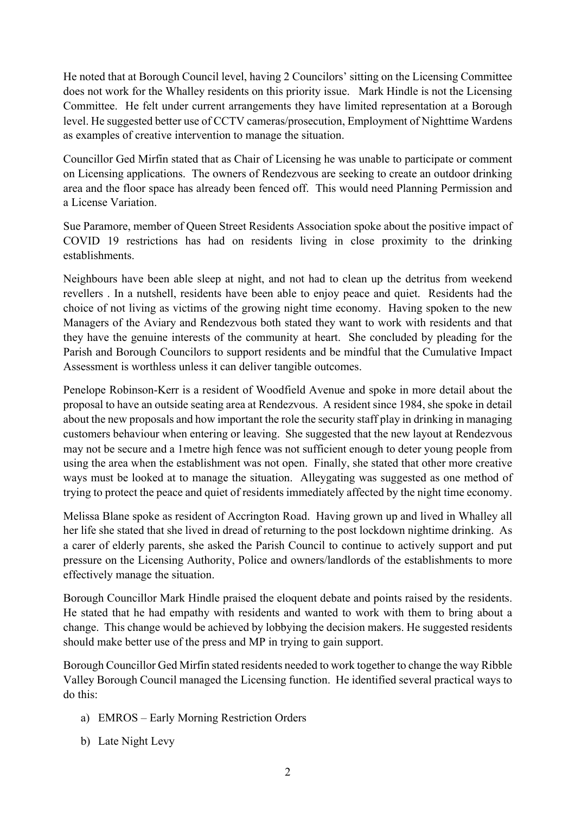He noted that at Borough Council level, having 2 Councilors' sitting on the Licensing Committee does not work for the Whalley residents on this priority issue. Mark Hindle is not the Licensing Committee. He felt under current arrangements they have limited representation at a Borough level. He suggested better use of CCTV cameras/prosecution, Employment of Nighttime Wardens as examples of creative intervention to manage the situation.

Councillor Ged Mirfin stated that as Chair of Licensing he was unable to participate or comment on Licensing applications. The owners of Rendezvous are seeking to create an outdoor drinking area and the floor space has already been fenced off. This would need Planning Permission and a License Variation.

Sue Paramore, member of Queen Street Residents Association spoke about the positive impact of COVID 19 restrictions has had on residents living in close proximity to the drinking establishments.

Neighbours have been able sleep at night, and not had to clean up the detritus from weekend revellers . In a nutshell, residents have been able to enjoy peace and quiet. Residents had the choice of not living as victims of the growing night time economy. Having spoken to the new Managers of the Aviary and Rendezvous both stated they want to work with residents and that they have the genuine interests of the community at heart. She concluded by pleading for the Parish and Borough Councilors to support residents and be mindful that the Cumulative Impact Assessment is worthless unless it can deliver tangible outcomes.

Penelope Robinson-Kerr is a resident of Woodfield Avenue and spoke in more detail about the proposal to have an outside seating area at Rendezvous. A resident since 1984, she spoke in detail about the new proposals and how important the role the security staff play in drinking in managing customers behaviour when entering or leaving. She suggested that the new layout at Rendezvous may not be secure and a 1metre high fence was not sufficient enough to deter young people from using the area when the establishment was not open. Finally, she stated that other more creative ways must be looked at to manage the situation. Alleygating was suggested as one method of trying to protect the peace and quiet of residents immediately affected by the night time economy.

Melissa Blane spoke as resident of Accrington Road. Having grown up and lived in Whalley all her life she stated that she lived in dread of returning to the post lockdown nightime drinking. As a carer of elderly parents, she asked the Parish Council to continue to actively support and put pressure on the Licensing Authority, Police and owners/landlords of the establishments to more effectively manage the situation.

Borough Councillor Mark Hindle praised the eloquent debate and points raised by the residents. He stated that he had empathy with residents and wanted to work with them to bring about a change. This change would be achieved by lobbying the decision makers. He suggested residents should make better use of the press and MP in trying to gain support.

Borough Councillor Ged Mirfin stated residents needed to work together to change the way Ribble Valley Borough Council managed the Licensing function. He identified several practical ways to do this:

- a) EMROS Early Morning Restriction Orders
- b) Late Night Levy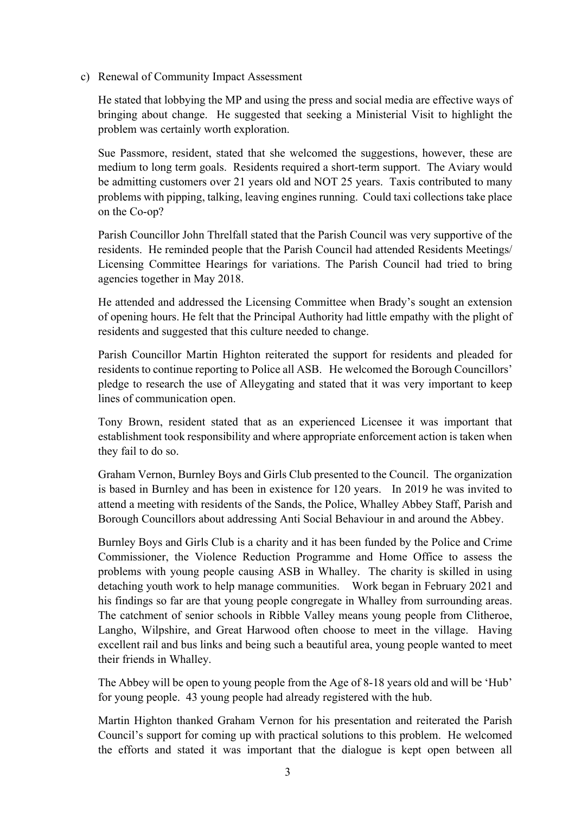c) Renewal of Community Impact Assessment

He stated that lobbying the MP and using the press and social media are effective ways of bringing about change. He suggested that seeking a Ministerial Visit to highlight the problem was certainly worth exploration.

Sue Passmore, resident, stated that she welcomed the suggestions, however, these are medium to long term goals. Residents required a short-term support. The Aviary would be admitting customers over 21 years old and NOT 25 years. Taxis contributed to many problems with pipping, talking, leaving engines running. Could taxi collections take place on the Co-op?

Parish Councillor John Threlfall stated that the Parish Council was very supportive of the residents. He reminded people that the Parish Council had attended Residents Meetings/ Licensing Committee Hearings for variations. The Parish Council had tried to bring agencies together in May 2018.

He attended and addressed the Licensing Committee when Brady's sought an extension of opening hours. He felt that the Principal Authority had little empathy with the plight of residents and suggested that this culture needed to change.

Parish Councillor Martin Highton reiterated the support for residents and pleaded for residents to continue reporting to Police all ASB. He welcomed the Borough Councillors' pledge to research the use of Alleygating and stated that it was very important to keep lines of communication open.

Tony Brown, resident stated that as an experienced Licensee it was important that establishment took responsibility and where appropriate enforcement action is taken when they fail to do so.

Graham Vernon, Burnley Boys and Girls Club presented to the Council. The organization is based in Burnley and has been in existence for 120 years. In 2019 he was invited to attend a meeting with residents of the Sands, the Police, Whalley Abbey Staff, Parish and Borough Councillors about addressing Anti Social Behaviour in and around the Abbey.

Burnley Boys and Girls Club is a charity and it has been funded by the Police and Crime Commissioner, the Violence Reduction Programme and Home Office to assess the problems with young people causing ASB in Whalley. The charity is skilled in using detaching youth work to help manage communities. Work began in February 2021 and his findings so far are that young people congregate in Whalley from surrounding areas. The catchment of senior schools in Ribble Valley means young people from Clitheroe, Langho, Wilpshire, and Great Harwood often choose to meet in the village. Having excellent rail and bus links and being such a beautiful area, young people wanted to meet their friends in Whalley.

The Abbey will be open to young people from the Age of 8-18 years old and will be 'Hub' for young people. 43 young people had already registered with the hub.

Martin Highton thanked Graham Vernon for his presentation and reiterated the Parish Council's support for coming up with practical solutions to this problem. He welcomed the efforts and stated it was important that the dialogue is kept open between all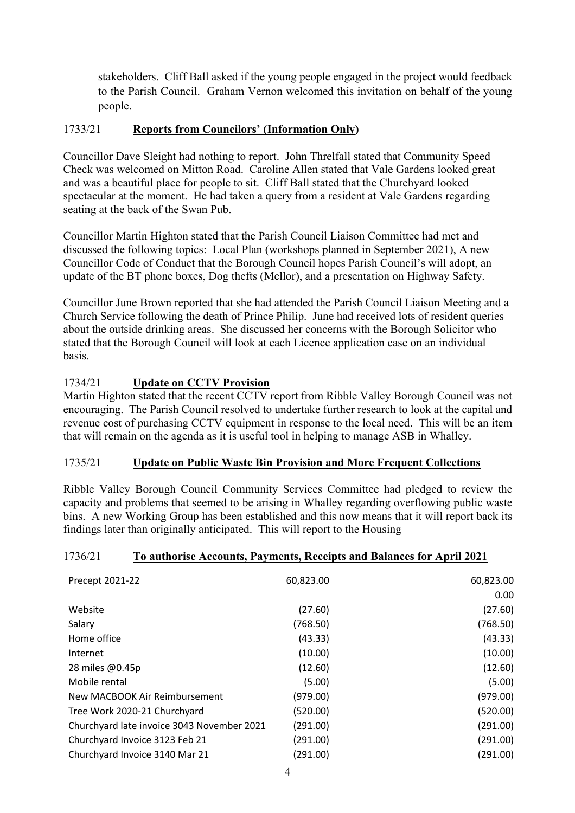stakeholders. Cliff Ball asked if the young people engaged in the project would feedback to the Parish Council. Graham Vernon welcomed this invitation on behalf of the young people.

## 1733/21 **Reports from Councilors' (Information Only)**

Councillor Dave Sleight had nothing to report. John Threlfall stated that Community Speed Check was welcomed on Mitton Road. Caroline Allen stated that Vale Gardens looked great and was a beautiful place for people to sit. Cliff Ball stated that the Churchyard looked spectacular at the moment. He had taken a query from a resident at Vale Gardens regarding seating at the back of the Swan Pub.

Councillor Martin Highton stated that the Parish Council Liaison Committee had met and discussed the following topics: Local Plan (workshops planned in September 2021), A new Councillor Code of Conduct that the Borough Council hopes Parish Council's will adopt, an update of the BT phone boxes, Dog thefts (Mellor), and a presentation on Highway Safety.

Councillor June Brown reported that she had attended the Parish Council Liaison Meeting and a Church Service following the death of Prince Philip. June had received lots of resident queries about the outside drinking areas. She discussed her concerns with the Borough Solicitor who stated that the Borough Council will look at each Licence application case on an individual basis.

## 1734/21 **Update on CCTV Provision**

Martin Highton stated that the recent CCTV report from Ribble Valley Borough Council was not encouraging. The Parish Council resolved to undertake further research to look at the capital and revenue cost of purchasing CCTV equipment in response to the local need. This will be an item that will remain on the agenda as it is useful tool in helping to manage ASB in Whalley.

## 1735/21 **Update on Public Waste Bin Provision and More Frequent Collections**

Ribble Valley Borough Council Community Services Committee had pledged to review the capacity and problems that seemed to be arising in Whalley regarding overflowing public waste bins. A new Working Group has been established and this now means that it will report back its findings later than originally anticipated. This will report to the Housing

## 1736/21 **To authorise Accounts, Payments, Receipts and Balances for April 2021**

| Precept 2021-22                            | 60,823.00 | 60,823.00 |
|--------------------------------------------|-----------|-----------|
|                                            |           | 0.00      |
| Website                                    | (27.60)   | (27.60)   |
| Salary                                     | (768.50)  | (768.50)  |
| Home office                                | (43.33)   | (43.33)   |
| Internet                                   | (10.00)   | (10.00)   |
| 28 miles @0.45p                            | (12.60)   | (12.60)   |
| Mobile rental                              | (5.00)    | (5.00)    |
| New MACBOOK Air Reimbursement              | (979.00)  | (979.00)  |
| Tree Work 2020-21 Churchyard               | (520.00)  | (520.00)  |
| Churchyard late invoice 3043 November 2021 | (291.00)  | (291.00)  |
| Churchyard Invoice 3123 Feb 21             | (291.00)  | (291.00)  |
| Churchyard Invoice 3140 Mar 21             | (291.00)  | (291.00)  |